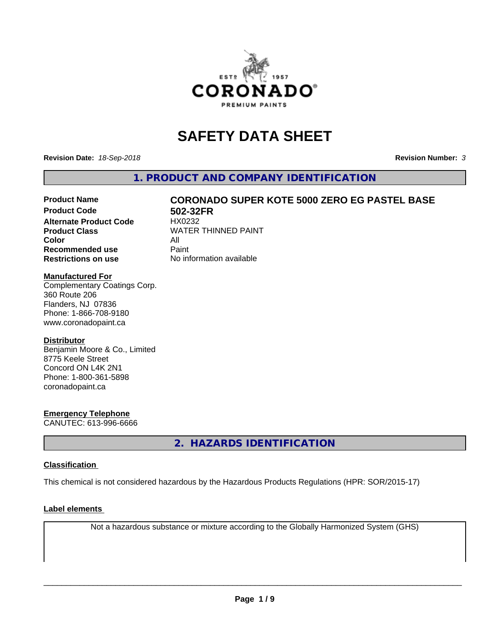

# **SAFETY DATA SHEET**

**Revision Date:** *18-Sep-2018* **Revision Number:** *3*

**1. PRODUCT AND COMPANY IDENTIFICATION**

# Product Name **CORONADO SUPER KOTE 5000 ZERO EG PASTEL BASE**<br>Product Code 602-32FR

**Alternate Product Code Color** All<br> **Recommended use** Paint **Recommended use Restrictions on use** No information available

**502-32FR**<br>HX0232 **Product Class WATER THINNED PAINT** 

#### **Manufactured For**

Complementary Coatings Corp. 360 Route 206 Flanders, NJ 07836 Phone: 1-866-708-9180 www.coronadopaint.ca

#### **Distributor**

Benjamin Moore & Co., Limited 8775 Keele Street Concord ON L4K 2N1 Phone: 1-800-361-5898 coronadopaint.ca

#### **Emergency Telephone**

CANUTEC: 613-996-6666

**2. HAZARDS IDENTIFICATION**

#### **Classification**

This chemical is not considered hazardous by the Hazardous Products Regulations (HPR: SOR/2015-17)

#### **Label elements**

Not a hazardous substance or mixture according to the Globally Harmonized System (GHS)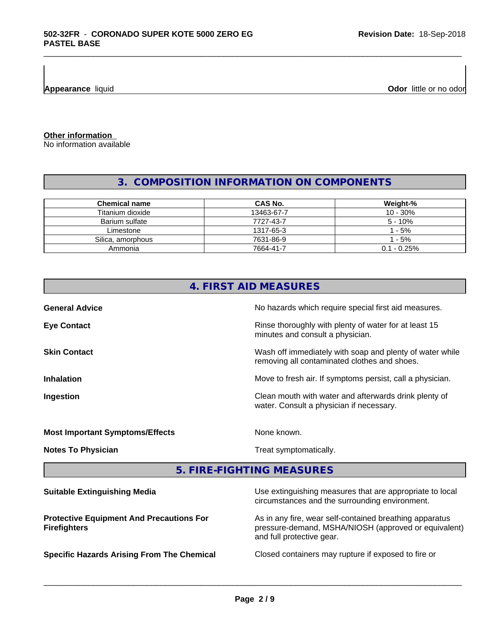**Appearance** liquid **Odor 11** and **Odor 11** and **Odor 11** and **Odor 11** and **Odor Odor 1** and **Odor 1** and **Odor 1** and **Odor 1** and **Odor 1** and **0** and **1 and 1 and 1 and 1 and 1 and 1 a** 

**Other information**

No information available

# **3. COMPOSITION INFORMATION ON COMPONENTS**

\_\_\_\_\_\_\_\_\_\_\_\_\_\_\_\_\_\_\_\_\_\_\_\_\_\_\_\_\_\_\_\_\_\_\_\_\_\_\_\_\_\_\_\_\_\_\_\_\_\_\_\_\_\_\_\_\_\_\_\_\_\_\_\_\_\_\_\_\_\_\_\_\_\_\_\_\_\_\_\_\_\_\_\_\_\_\_\_\_\_\_\_\_

| <b>Chemical name</b> | <b>CAS No.</b> | Weight-%      |
|----------------------|----------------|---------------|
| Titanium dioxide     | 13463-67-7     | $10 - 30%$    |
| Barium sulfate       | 7727-43-7      | $5 - 10%$     |
| Limestone            | 1317-65-3      | $1 - 5\%$     |
| Silica, amorphous    | 7631-86-9      | 1 - 5%        |
| Ammonia              | 7664-41-7      | $0.1 - 0.25%$ |

| 4. FIRST AID MEASURES                  |                                                                                                          |  |
|----------------------------------------|----------------------------------------------------------------------------------------------------------|--|
| <b>General Advice</b>                  | No hazards which require special first aid measures.                                                     |  |
| <b>Eye Contact</b>                     | Rinse thoroughly with plenty of water for at least 15<br>minutes and consult a physician.                |  |
| <b>Skin Contact</b>                    | Wash off immediately with soap and plenty of water while<br>removing all contaminated clothes and shoes. |  |
| <b>Inhalation</b>                      | Move to fresh air. If symptoms persist, call a physician.                                                |  |
| Ingestion                              | Clean mouth with water and afterwards drink plenty of<br>water. Consult a physician if necessary.        |  |
| <b>Most Important Symptoms/Effects</b> | None known.                                                                                              |  |
| <b>Notes To Physician</b>              | Treat symptomatically.                                                                                   |  |

**5. FIRE-FIGHTING MEASURES**

| Use extinguishing measures that are appropriate to local<br>circumstances and the surrounding environment.                                   |
|----------------------------------------------------------------------------------------------------------------------------------------------|
| As in any fire, wear self-contained breathing apparatus<br>pressure-demand, MSHA/NIOSH (approved or equivalent)<br>and full protective gear. |
| Closed containers may rupture if exposed to fire or                                                                                          |
|                                                                                                                                              |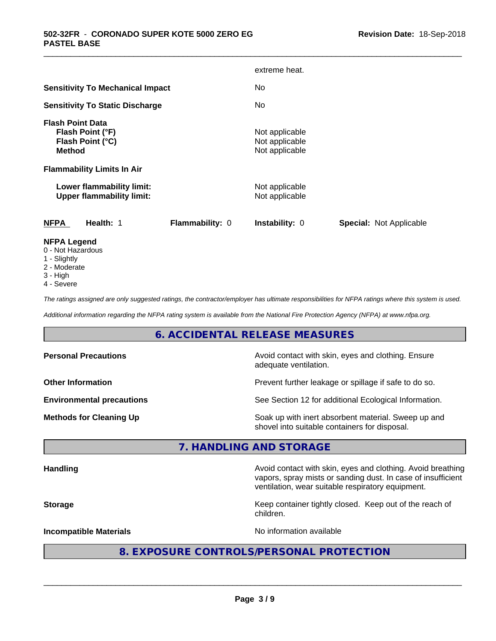|                                                                                  |                        | extreme heat.                                      |                                |
|----------------------------------------------------------------------------------|------------------------|----------------------------------------------------|--------------------------------|
| <b>Sensitivity To Mechanical Impact</b>                                          |                        | No                                                 |                                |
| <b>Sensitivity To Static Discharge</b>                                           |                        | No                                                 |                                |
| <b>Flash Point Data</b><br>Flash Point (°F)<br>Flash Point (°C)<br><b>Method</b> |                        | Not applicable<br>Not applicable<br>Not applicable |                                |
| <b>Flammability Limits In Air</b>                                                |                        |                                                    |                                |
| Lower flammability limit:<br><b>Upper flammability limit:</b>                    |                        | Not applicable<br>Not applicable                   |                                |
| <b>NFPA</b><br>Health: 1                                                         | <b>Flammability: 0</b> | Instability: 0                                     | <b>Special: Not Applicable</b> |
| <b>NFPA Legend</b><br>0 - Not Hazardous                                          |                        |                                                    |                                |

\_\_\_\_\_\_\_\_\_\_\_\_\_\_\_\_\_\_\_\_\_\_\_\_\_\_\_\_\_\_\_\_\_\_\_\_\_\_\_\_\_\_\_\_\_\_\_\_\_\_\_\_\_\_\_\_\_\_\_\_\_\_\_\_\_\_\_\_\_\_\_\_\_\_\_\_\_\_\_\_\_\_\_\_\_\_\_\_\_\_\_\_\_

- 1 Slightly
- 2 Moderate
- 3 High
- 4 Severe

*The ratings assigned are only suggested ratings, the contractor/employer has ultimate responsibilities for NFPA ratings where this system is used.*

*Additional information regarding the NFPA rating system is available from the National Fire Protection Agency (NFPA) at www.nfpa.org.*

### **6. ACCIDENTAL RELEASE MEASURES**

| <b>Personal Precautions</b>      | Avoid contact with skin, eyes and clothing. Ensure<br>adequate ventilation.                          |
|----------------------------------|------------------------------------------------------------------------------------------------------|
| <b>Other Information</b>         | Prevent further leakage or spillage if safe to do so.                                                |
| <b>Environmental precautions</b> | See Section 12 for additional Ecological Information.                                                |
| <b>Methods for Cleaning Up</b>   | Soak up with inert absorbent material. Sweep up and<br>shovel into suitable containers for disposal. |

### **7. HANDLING AND STORAGE**

| <b>Handling</b> |  |
|-----------------|--|
|                 |  |

**Handling** Avoid contact with skin, eyes and clothing. Avoid breathing vapors, spray mists or sanding dust. In case of insufficient ventilation, wear suitable respiratory equipment.

**Storage Keep container tightly closed. Keep out of the reach of Keep** container tightly closed. Keep out of the reach of children.

**Incompatible Materials Incompatible Materials No information available** 

 $\overline{\phantom{a}}$  ,  $\overline{\phantom{a}}$  ,  $\overline{\phantom{a}}$  ,  $\overline{\phantom{a}}$  ,  $\overline{\phantom{a}}$  ,  $\overline{\phantom{a}}$  ,  $\overline{\phantom{a}}$  ,  $\overline{\phantom{a}}$  ,  $\overline{\phantom{a}}$  ,  $\overline{\phantom{a}}$  ,  $\overline{\phantom{a}}$  ,  $\overline{\phantom{a}}$  ,  $\overline{\phantom{a}}$  ,  $\overline{\phantom{a}}$  ,  $\overline{\phantom{a}}$  ,  $\overline{\phantom{a}}$ 

# **8. EXPOSURE CONTROLS/PERSONAL PROTECTION**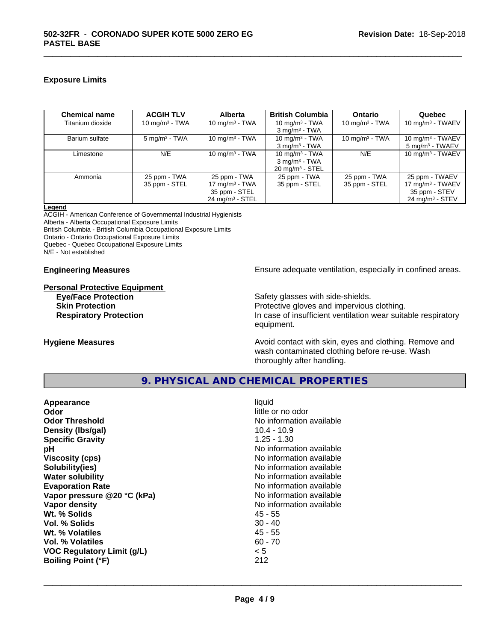#### **Exposure Limits**

| <b>Chemical name</b> | <b>ACGIH TLV</b>         | <b>Alberta</b>             | <b>British Columbia</b>    | <b>Ontario</b>    | Quebec                       |
|----------------------|--------------------------|----------------------------|----------------------------|-------------------|------------------------------|
| Titanium dioxide     | 10 $mq/m3$ - TWA         | 10 mg/m $3$ - TWA          | 10 mg/m $3$ - TWA          | 10 mg/m $3$ - TWA | 10 mg/m $3$ - TWAEV          |
|                      |                          |                            | $3 \text{ mg/m}^3$ - TWA   |                   |                              |
| Barium sulfate       | $5 \text{ mg/m}^3$ - TWA | 10 mg/m $3$ - TWA          | 10 mg/m $3$ - TWA          | 10 mg/m $3$ - TWA | 10 mg/m $3$ - TWAEV          |
|                      |                          |                            | $3 \text{ mg/m}^3$ - TWA   |                   | $5 \text{ mg/m}^3$ - TWAEV   |
| Limestone            | N/E                      | 10 mg/m $3$ - TWA          | 10 mg/m $3$ - TWA          | N/E               | 10 mg/m $3$ - TWAEV          |
|                      |                          |                            | $3 \text{ mg/m}^3$ - TWA   |                   |                              |
|                      |                          |                            | $20 \text{ mg/m}^3$ - STEL |                   |                              |
| Ammonia              | 25 ppm - TWA             | 25 ppm - TWA               | 25 ppm - TWA               | 25 ppm - TWA      | 25 ppm - TWAEV               |
|                      | 35 ppm - STEL            | 17 mg/m $3$ - TWA          | 35 ppm - STEL              | 35 ppm - STEL     | 17 mg/m <sup>3</sup> - TWAEV |
|                      |                          | 35 ppm - STEL              |                            |                   | 35 ppm - STEV                |
|                      |                          | $24 \text{ ma/m}^3$ - STEL |                            |                   | $24 \text{ ma/m}^3$ - STEV   |

\_\_\_\_\_\_\_\_\_\_\_\_\_\_\_\_\_\_\_\_\_\_\_\_\_\_\_\_\_\_\_\_\_\_\_\_\_\_\_\_\_\_\_\_\_\_\_\_\_\_\_\_\_\_\_\_\_\_\_\_\_\_\_\_\_\_\_\_\_\_\_\_\_\_\_\_\_\_\_\_\_\_\_\_\_\_\_\_\_\_\_\_\_

**Legend**

ACGIH - American Conference of Governmental Industrial Hygienists Alberta - Alberta Occupational Exposure Limits British Columbia - British Columbia Occupational Exposure Limits Ontario - Ontario Occupational Exposure Limits Quebec - Quebec Occupational Exposure Limits N/E - Not established

# **Personal Protective Equipment**

#### **Engineering Measures Ensure** Ensure adequate ventilation, especially in confined areas.

**Eye/Face Protection** Safety glasses with side-shields. **Skin Protection Protection Protective gloves and impervious clothing. Respiratory Protection In case of insufficient ventilation wear suitable respiratory** equipment.

**Hygiene Measures Avoid contact with skin, eyes and clothing. Remove and Avoid contact with skin, eyes and clothing. Remove and** wash contaminated clothing before re-use. Wash thoroughly after handling.

# **9. PHYSICAL AND CHEMICAL PROPERTIES**

| Appearance<br>Odor                | liquid<br>little or no odor  |
|-----------------------------------|------------------------------|
| <b>Odor Threshold</b>             | No information available     |
| Density (Ibs/gal)                 | 10.4 - 10.9<br>$1.25 - 1.30$ |
| <b>Specific Gravity</b>           | No information available     |
| рH                                |                              |
| <b>Viscosity (cps)</b>            | No information available     |
| Solubility(ies)                   | No information available     |
| <b>Water solubility</b>           | No information available     |
| <b>Evaporation Rate</b>           | No information available     |
| Vapor pressure @20 °C (kPa)       | No information available     |
| Vapor density                     | No information available     |
| Wt. % Solids                      | 45 - 55                      |
| Vol. % Solids                     | $30 - 40$                    |
| Wt. % Volatiles                   | 45 - 55                      |
| Vol. % Volatiles                  | $60 - 70$                    |
| <b>VOC Regulatory Limit (g/L)</b> | < 5                          |
| <b>Boiling Point (°F)</b>         | 212                          |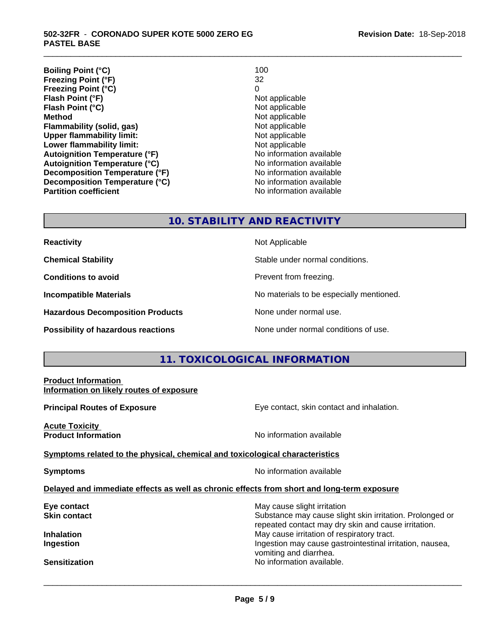**Boiling Point (°C)** 100<br> **Preezing Point (°F)** 22 **Freezing Point (°F) Freezing Point (°C)** 0 **Flash Point (°F)**<br> **Flash Point (°C)**<br> **Flash Point (°C)**<br> **C Flash Point (°C) Method** Not applicable **Flammability (solid, gas)**<br> **Commability limit:**<br>
Upper flammability limit:<br>
Not applicable **Upper flammability limit:**<br> **Lower flammability limit:** Not applicable Not applicable **Lower flammability limit: Autoignition Temperature (°F)** No information available **Autoignition Temperature (°C)** No information available **Decomposition Temperature (°F)** No information available **Decomposition Temperature (°C)**<br> **Partition coefficient**<br> **Partition coefficient**<br> **No** information available

**No information available** 

\_\_\_\_\_\_\_\_\_\_\_\_\_\_\_\_\_\_\_\_\_\_\_\_\_\_\_\_\_\_\_\_\_\_\_\_\_\_\_\_\_\_\_\_\_\_\_\_\_\_\_\_\_\_\_\_\_\_\_\_\_\_\_\_\_\_\_\_\_\_\_\_\_\_\_\_\_\_\_\_\_\_\_\_\_\_\_\_\_\_\_\_\_

### **10. STABILITY AND REACTIVITY**

| <b>Reactivity</b> |
|-------------------|
|-------------------|

**Hazardous Decomposition Products** None under normal use.

**Not Applicable** 

**Chemical Stability Stable under normal conditions.** 

**Conditions to avoid Conditions to avoid Prevent from freezing.** 

**Incompatible Materials No materials** No materials to be especially mentioned.

**Possibility of hazardous reactions** None under normal conditions of use.

# **11. TOXICOLOGICAL INFORMATION**

# **Product Information Information on likely routes of exposure Principal Routes of Exposure Exposure** Eye contact, skin contact and inhalation. **Acute Toxicity Product Information Information No information available <u>Symptoms related to the physical, chemical and toxicological characteristics</u> Symptoms** No information available **Delayed and immediate effects as well as chronic effects from short and long-term exposure Eye contact Exercise Solution** May cause slight irritation **Skin contact** Substance may cause slight skin irritation. Prolonged or repeated contact may dry skin and cause irritation. **Inhalation** May cause irritation of respiratory tract. **Ingestion Ingestion Ingestion Ingestion Ingestion Ingestion Ingestion Ingestion Ingestion Ingestion** vomiting and diarrhea. **Sensitization No information available.** No information available.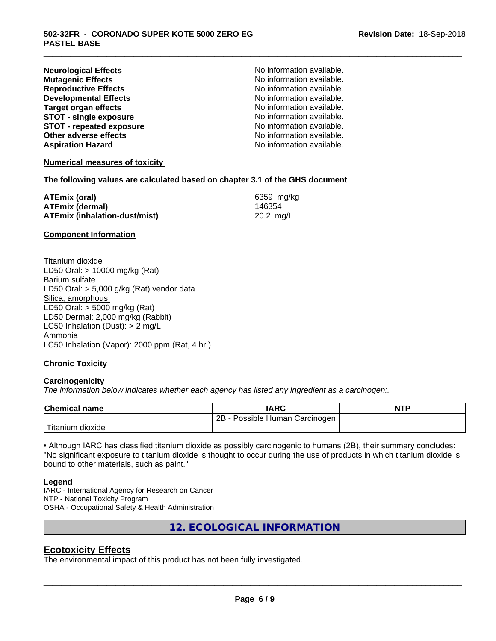| <b>Neurological Effects</b>     |
|---------------------------------|
| <b>Mutagenic Effects</b>        |
| <b>Reproductive Effects</b>     |
| <b>Developmental Effects</b>    |
| <b>Target organ effects</b>     |
| <b>STOT - single exposure</b>   |
| <b>STOT - repeated exposure</b> |
| Other adverse effects           |
| <b>Aspiration Hazard</b>        |
|                                 |

No information available. No information available. **Reproductive Effects** No information available. No information available. No information available. **STOT - single exposure** No information available. **STOT - repeated exposure** No information available. No information available. **No information available.** 

\_\_\_\_\_\_\_\_\_\_\_\_\_\_\_\_\_\_\_\_\_\_\_\_\_\_\_\_\_\_\_\_\_\_\_\_\_\_\_\_\_\_\_\_\_\_\_\_\_\_\_\_\_\_\_\_\_\_\_\_\_\_\_\_\_\_\_\_\_\_\_\_\_\_\_\_\_\_\_\_\_\_\_\_\_\_\_\_\_\_\_\_\_

#### **Numerical measures of toxicity**

**The following values are calculated based on chapter 3.1 of the GHS document**

| ATEmix (oral)                 | 6359 mg/ka |
|-------------------------------|------------|
| <b>ATEmix (dermal)</b>        | 146354     |
| ATEmix (inhalation-dust/mist) | 20.2 mg/L  |

**Component Information**

Titanium dioxide LD50 Oral: > 10000 mg/kg (Rat) Barium sulfate LD50 Oral: > 5,000 g/kg (Rat) vendor data Silica, amorphous LD50 Oral: > 5000 mg/kg (Rat) LD50 Dermal: 2,000 mg/kg (Rabbit) LC50 Inhalation (Dust): > 2 mg/L Ammonia LC50 Inhalation (Vapor): 2000 ppm (Rat, 4 hr.)

#### **Chronic Toxicity**

#### **Carcinogenicity**

*The information below indicateswhether each agency has listed any ingredient as a carcinogen:.*

| <b>Chemical name</b> | <b>IARC</b>                            | <b>NTP</b> |
|----------------------|----------------------------------------|------------|
|                      | Possible Human (<br>2B<br>∖ Carcinogen |            |
| 'Titanium<br>dioxide |                                        |            |

• Although IARC has classified titanium dioxide as possibly carcinogenic to humans (2B), their summary concludes: "No significant exposure to titanium dioxide is thought to occur during the use of products in which titanium dioxide is bound to other materials, such as paint."

#### **Legend**

IARC - International Agency for Research on Cancer NTP - National Toxicity Program OSHA - Occupational Safety & Health Administration

**12. ECOLOGICAL INFORMATION**

#### **Ecotoxicity Effects**

The environmental impact of this product has not been fully investigated.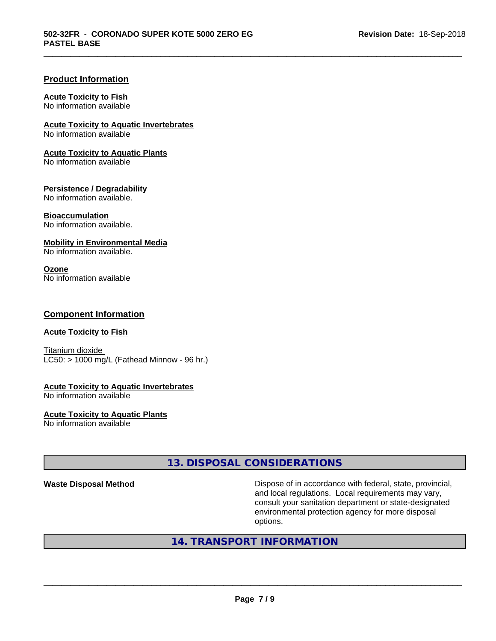\_\_\_\_\_\_\_\_\_\_\_\_\_\_\_\_\_\_\_\_\_\_\_\_\_\_\_\_\_\_\_\_\_\_\_\_\_\_\_\_\_\_\_\_\_\_\_\_\_\_\_\_\_\_\_\_\_\_\_\_\_\_\_\_\_\_\_\_\_\_\_\_\_\_\_\_\_\_\_\_\_\_\_\_\_\_\_\_\_\_\_\_\_

#### **Product Information**

#### **Acute Toxicity to Fish**

No information available

**Acute Toxicity to Aquatic Invertebrates**

No information available

#### **Acute Toxicity to Aquatic Plants**

No information available

#### **Persistence / Degradability**

No information available.

#### **Bioaccumulation**

No information available.

#### **Mobility in Environmental Media**

No information available.

#### **Ozone**

No information available

#### **Component Information**

#### **Acute Toxicity to Fish**

Titanium dioxide  $LC50:$  > 1000 mg/L (Fathead Minnow - 96 hr.)

# **Acute Toxicity to Aquatic Invertebrates**

No information available

# **Acute Toxicity to Aquatic Plants**

No information available

# **13. DISPOSAL CONSIDERATIONS**

**Waste Disposal Method Dispose of in accordance with federal, state, provincial,** and local regulations. Local requirements may vary, consult your sanitation department or state-designated environmental protection agency for more disposal options.

# **14. TRANSPORT INFORMATION**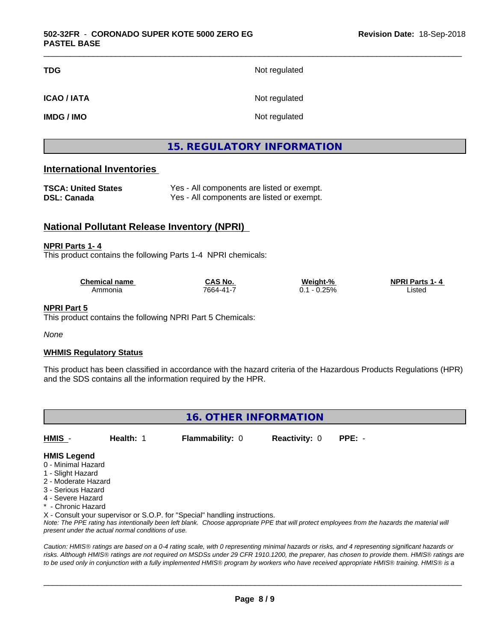| TDG                | Not regulated |
|--------------------|---------------|
| <b>ICAO / IATA</b> | Not regulated |
| <b>IMDG / IMO</b>  | Not regulated |

# **15. REGULATORY INFORMATION**

\_\_\_\_\_\_\_\_\_\_\_\_\_\_\_\_\_\_\_\_\_\_\_\_\_\_\_\_\_\_\_\_\_\_\_\_\_\_\_\_\_\_\_\_\_\_\_\_\_\_\_\_\_\_\_\_\_\_\_\_\_\_\_\_\_\_\_\_\_\_\_\_\_\_\_\_\_\_\_\_\_\_\_\_\_\_\_\_\_\_\_\_\_

#### **International Inventories**

| <b>TSCA: United States</b> | Yes - All components are listed or exempt. |
|----------------------------|--------------------------------------------|
| <b>DSL: Canada</b>         | Yes - All components are listed or exempt. |

# **National Pollutant Release Inventory (NPRI)**

#### **NPRI Parts 1- 4**

This product contains the following Parts 1-4 NPRI chemicals:

| <b>Chemical name</b> | CAS No.   | Weight-%    | <b>NPRI Parts 1-4</b> |
|----------------------|-----------|-------------|-----------------------|
| Ammonia              | 7664-41-7 | 0.25%<br>ັ. | _ısted                |

#### **NPRI Part 5**

This product contains the following NPRI Part 5 Chemicals:

*None*

#### **WHMIS Regulatory Status**

This product has been classified in accordance with the hazard criteria of the Hazardous Products Regulations (HPR) and the SDS contains all the information required by the HPR.

**16. OTHER INFORMATION** *Note: The PPE rating has intentionally been left blank. Choose appropriate PPE that will protect employees from the hazards the material will present under the actual normal conditions of use.* **HMIS** - **Health:** 1 **Flammability:** 0 **Reactivity:** 0 **PPE:** - **HMIS Legend** 0 - Minimal Hazard 1 - Slight Hazard 2 - Moderate Hazard 3 - Serious Hazard 4 - Severe Hazard \* - Chronic Hazard X - Consult your supervisor or S.O.P. for "Special" handling instructions.

*Caution: HMISÒ ratings are based on a 0-4 rating scale, with 0 representing minimal hazards or risks, and 4 representing significant hazards or risks. Although HMISÒ ratings are not required on MSDSs under 29 CFR 1910.1200, the preparer, has chosen to provide them. HMISÒ ratings are to be used only in conjunction with a fully implemented HMISÒ program by workers who have received appropriate HMISÒ training. HMISÒ is a*